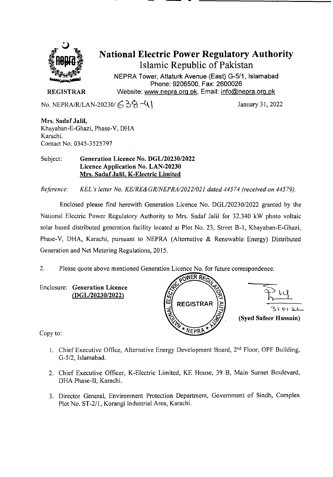

# **National Electric Power Regulatory Authority Islamic Republic of Pakistan**

**NEPRA Tower, Attaturk Avenue (East) G-511, Islamabad Phone: 9206500, Fax: 2600026 REGISTRAR** Website: www.nepra.org.pk, Email: info@nepra.org.pk

No. NEPRA/R/LAN-20230/  $\left(-5\frac{3}{5}\right)$   $-4$   $\left(-1\right)$  January 31, 2022

Mrs. Sadaf Jalil, Khayaban-E-Ghazi, Phase-V, DHA Karachi. Contact No. 0345-3525797

Subject: Generation Licence No. DGL/20230/2022 Licence Application No. LAN-20230 Mrs. Sadaf Jalil, K-Electric Limited

*Reference: KEL's letter No. KE/RE&GR/NEPRA/2022/021 dated 44574 (received on 44579).* 

Enclosed please find herewith Generation Licence No. DGL/20230/2022 granted by the National Electric Power Regulatory Authority to Mrs. Sadaf Jalil for 32.340 kW photo voltaic solar based distributed generation facility located at Plot No. 23, Street B-I, Khayaban-E-Ghazi, Phase-V, DHA, Karachi, pursuant to NEPRA (Alternative & Renewable Energy) Distributed Generation and Net Metering Regulations, 2015.

2. Please quote above mentioned Generation Licence No. for future correspondence.

Enclosure: Generation Licence *(DGL120230/2022)* 



Copy to:

- 1. Chief Executive Office, Alternative Energy Development Board, 2<sup>nd</sup> Floor, OPF Building, G-5/2, Islamabad.
- 2. Chief Executive Officer, K-Electric Limited, KE House, 39 B, Main Sunset Boulevard, DHA Phase-Il, Karachi.
- 3. Director General, Environment Protection Department, Government of Sindh, Complex Plot No. ST-2/1, Korangi Industrial Area, Karachi.